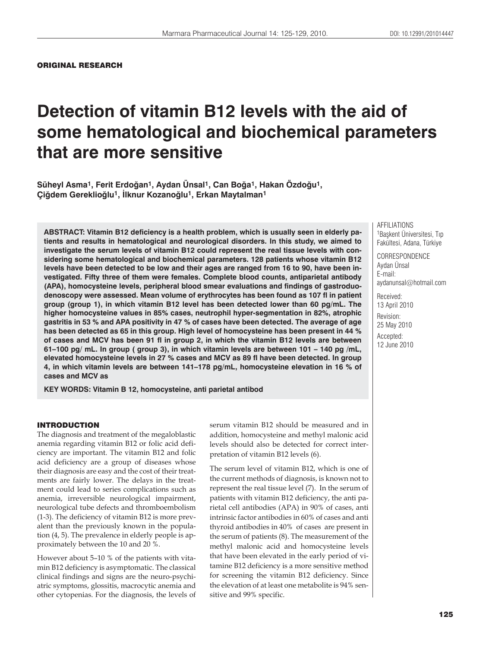# **Detection of vitamin B12 levels with the aid of some hematological and biochemical parameters that are more sensitive**

**Süheyl Asma1, Ferit Erdoùan1, Aydan Ünsal1, Can Boùa1, Hakan Özdoùu1, Çiùdem Gereklioùlu1, úlknur Kozanoùlu1, Erkan Maytalman1**

**ABSTRACT: Vitamin B12 deficiency is a health problem, which is usually seen in elderly patients and results in hematological and neurological disorders. In this study, we aimed to investigate the serum levels of vitamin B12 could represent the real tissue levels with considering some hematological and biochemical parameters. 128 patients whose vitamin B12 levels have been detected to be low and their ages are ranged from 16 to 90, have been investigated. Fifty three of them were females. Complete blood counts, antiparietal antibody (APA), homocysteine levels, peripheral blood smear evaluations and findings of gastroduodenoscopy were assessed. Mean volume of erythrocytes has been found as 107 fl in patient group (group 1), in which vitamin B12 level has been detected lower than 60 pg/mL. The higher homocysteine values in 85% cases, neutrophil hyper-segmentation in 82%, atrophic gastritis in 53 % and APA positivity in 47 % of cases have been detected. The average of age has been detected as 65 in this group. High level of homocysteine has been present in 44 % of cases and MCV has been 91 fl in group 2, in which the vitamin B12 levels are between 61–100 pg/ mL. In group ( group 3), in which vitamin levels are between 101 – 140 pg /mL, elevated homocysteine levels in 27 % cases and MCV as 89 fl have been detected. In group 4, in which vitamin levels are between 141–178 pg/mL, homocysteine elevation in 16 % of cases and MCV as**

**KEY WORDS: Vitamin B 12, homocysteine, anti parietal antibod**

#### INTRODUCTION

The diagnosis and treatment of the megaloblastic anemia regarding vitamin B12 or folic acid deficiency are important. The vitamin B12 and folic acid deficiency are a group of diseases whose their diagnosis are easy and the cost of their treatments are fairly lower. The delays in the treatment could lead to series complications such as anemia, irreversible neurological impairment, neurological tube defects and thromboembolism (1-3). The deficiency of vitamin B12 is more prevalent than the previously known in the population (4, 5). The prevalence in elderly people is approximately between the 10 and 20 %.

However about 5–10 % of the patients with vitamin B12 deficiency is asymptomatic. The classical clinical findings and signs are the neuro-psychiatric symptoms, glossitis, macrocytic anemia and other cytopenias. For the diagnosis, the levels of serum vitamin B12 should be measured and in addition, homocysteine and methyl malonic acid levels should also be detected for correct interpretation of vitamin B12 levels (6).

The serum level of vitamin B12, which is one of the current methods of diagnosis, is known not to represent the real tissue level (7). In the serum of patients with vitamin B12 deficiency, the anti parietal cell antibodies (APA) in 90% of cases, anti intrinsic factor antibodies in 60% of cases and anti thyroid antibodies in 40% of cases are present in the serum of patients (8). The measurement of the methyl malonic acid and homocysteine levels that have been elevated in the early period of vitamine B12 deficiency is a more sensitive method for screening the vitamin B12 deficiency. Since the elevation of at least one metabolite is 94% sensitive and 99% specific.

AFFILIATIONS 1Baskent Üniversitesi, Tıp Fakültesi, Adana, Türkiye

**CORRESPONDENCE** Aydan Ünsal E-mail: aydanunsal@hotmail.com

Received: 13 April 2010 Revision: 25 May 2010 Accepted: 12 June 2010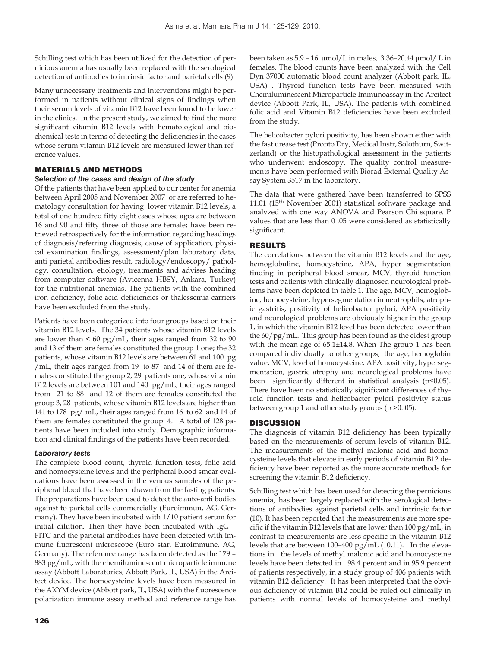Schilling test which has been utilized for the detection of pernicious anemia has usually been replaced with the serological detection of antibodies to intrinsic factor and parietal cells (9).

Many unnecessary treatments and interventions might be performed in patients without clinical signs of findings when their serum levels of vitamin B12 have been found to be lower in the clinics. In the present study, we aimed to find the more significant vitamin B12 levels with hematological and biochemical tests in terms of detecting the deficiencies in the cases whose serum vitamin B12 levels are measured lower than reference values.

### MATERIALS AND METHODS

#### *Selection of the cases and design of the study*

Of the patients that have been applied to our center for anemia between April 2005 and November 2007 or are referred to hematology consultation for having lower vitamin B12 levels, a total of one hundred fifty eight cases whose ages are between 16 and 90 and fifty three of those are female; have been retrieved retrospectively for the information regarding headings of diagnosis/referring diagnosis, cause of application, physical examination findings, assessment/plan laboratory data, anti parietal antibodies result, radiology/endoscopy/ pathology, consultation, etiology, treatments and advises heading from computer software (Avicenna HBSY, Ankara, Turkey) for the nutritional anemias. The patients with the combined iron deficiency, folic acid deficiencies or thalessemia carriers have been excluded from the study.

Patients have been categorized into four groups based on their vitamin B12 levels. The 34 patients whose vitamin B12 levels are lower than  $\leq 60$  pg/mL, their ages ranged from 32 to 90 and 13 of them are females constituted the group 1 one; the 32 patients, whose vitamin B12 levels are between 61 and 100 pg /mL, their ages ranged from 19 to 87 and 14 of them are females constituted the group 2, 29 patients one, whose vitamin B12 levels are between 101 and 140 pg/mL, their ages ranged from 21 to 88 and 12 of them are females constituted the group 3, 28 patients, whose vitamin B12 levels are higher than 141 to 178 pg/ mL, their ages ranged from 16 to 62 and 14 of them are females constituted the group 4. A total of 128 patients have been included into study. Demographic information and clinical findings of the patients have been recorded.

#### *Laboratory tests*

The complete blood count, thyroid function tests, folic acid and homocysteine levels and the peripheral blood smear evaluations have been assessed in the venous samples of the peripheral blood that have been drawn from the fasting patients. The preparations have been used to detect the auto-anti bodies against to parietal cells commercially (Euroimmun, AG, Germany). They have been incubated with 1/10 patient serum for initial dilution. Then they have been incubated with IgG – FITC and the parietal antibodies have been detected with immune fluorescent microscope (Euro star, Euroimmune, AG, Germany). The reference range has been detected as the 179 – 883 pg/mL, with the chemiluminescent microparticle immune assay (Abbott Laboratories, Abbott Park, IL, USA) in the Arcitect device. The homocysteine levels have been measured in the AXYM device (Abbott park, IL, USA) with the fluorescence polarization immune assay method and reference range has been taken as 5.9 – 16 μmol/L in males, 3.36–20.44 μmol/ L in females. The blood counts have been analyzed with the Cell Dyn 37000 automatic blood count analyzer (Abbott park, IL, USA) . Thyroid function tests have been measured with Chemiluminescent Microparticle Immunoassay in the Arcitect device (Abbott Park, IL, USA). The patients with combined folic acid and Vitamin B12 deficiencies have been excluded from the study.

The helicobacter pylori positivity, has been shown either with the fast urease test (Pronto Dry, Medical Instr, Solothurn, Switzerland) or the histopathological assessment in the patients who underwent endoscopy. The quality control measurements have been performed with Biorad External Quality Assay System 3517 in the laboratory.

The data that were gathered have been transferred to SPSS 11.01 (15th November 2001) statistical software package and analyzed with one way ANOVA and Pearson Chi square. P values that are less than 0 .05 were considered as statistically significant.

#### RESULTS

The correlations between the vitamin B12 levels and the age, hemoglobuline, homocysteine, APA, hyper segmentation finding in peripheral blood smear, MCV, thyroid function tests and patients with clinically diagnosed neurological problems have been depicted in table 1. The age, MCV, hemoglobine, homocysteine, hypersegmentation in neutrophils, atrophic gastritis, positivity of helicobacter pylori, APA positivity and neurological problems are obviously higher in the group 1, in which the vitamin B12 level has been detected lower than the 60/pg/mL. This group has been found as the eldest group with the mean age of 65.1±14.8. When The group 1 has been compared individually to other groups, the age, hemoglobin value, MCV, level of homocysteine, APA positivity, hypersegmentation, gastric atrophy and neurological problems have been significantly different in statistical analysis (p<0.05). There have been no statistically significant differences of thyroid function tests and helicobacter pylori positivity status between group 1 and other study groups (p >0. 05).

#### **DISCUSSION**

The diagnosis of vitamin B12 deficiency has been typically based on the measurements of serum levels of vitamin B12. The measurements of the methyl malonic acid and homocysteine levels that elevate in early periods of vitamin B12 deficiency have been reported as the more accurate methods for screening the vitamin B12 deficiency.

Schilling test which has been used for detecting the pernicious anemia, has been largely replaced with the serological detections of antibodies against parietal cells and intrinsic factor (10). It has been reported that the measurements are more specific if the vitamin B12 levels that are lower than 100 pg/mL, in contrast to measurements are less specific in the vitamin B12 levels that are between 100–400 pg/mL (10,11). In the elevations in the levels of methyl malonic acid and homocysteine levels have been detected in 98.4 percent and in 95.9 percent of patients respectively, in a study group of 406 patients with vitamin B12 deficiency. It has been interpreted that the obvious deficiency of vitamin B12 could be ruled out clinically in patients with normal levels of homocysteine and methyl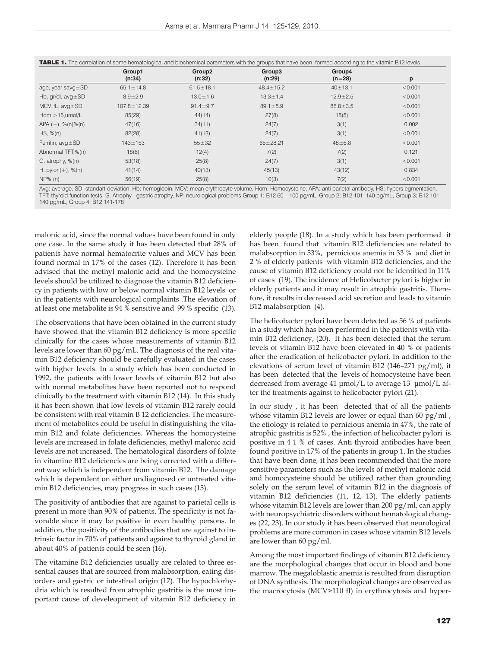|                             | Group1<br>(n:34)  | Group2<br>(n:32) | Group3<br>(n:29) | Group4<br>$(n=28)$ | p       |
|-----------------------------|-------------------|------------------|------------------|--------------------|---------|
| age, year savg $\pm$ SD     | $65.1 \pm 14.8$   | $61.5 \pm 18.1$  | $48.4 \pm 15.2$  | $40 \pm 13.1$      | < 0.001 |
| Hb, $gr/dl$ , $avg \pm SD$  | $8.9 \pm 2.9$     | $13.0 \pm 1.6$   | $13.3 \pm 1.4$   | $12.9 + 2.5$       | < 0.001 |
| MCV, fL, $avg \pm SD$       | $107.8 \pm 12.39$ | $91.4 \pm 9.7$   | $89.1 \pm 5.9$   | $86.8 \pm 3.5$     | < 0.001 |
| $Hom. > 16,$ umol/L         | 85(29)            | 44(14)           | 27(8)            | 18(5)              | < 0.001 |
| APA $(+)$ , % $(n)$ % $(n)$ | 47(16)            | 34(11)           | 24(7)            | 3(1)               | 0.002   |
| HS, %(n)                    | 82(28)            | 41(13)           | 24(7)            | 3(1)               | < 0.001 |
| Ferritin, $avg \pm SD$      | $143 \pm 153$     | $55 + 32$        | $65 \pm 28.21$   | $48 + 6.8$         | < 0.001 |
| Abnormal TFT,%(n)           | 18(6)             | 12(4)            | 7(2)             | 7(2)               | 0.121   |
| G. atrophy, %(n)            | 53(18)            | 25(8)            | 24(7)            | 3(1)               | < 0.001 |
| H. $pylori(+)$ , % $(n)$    | 41(14)            | 40(13)           | 45(13)           | 43(12)             | 0.834   |
| NP% (n)                     | 56(19)            | 25(8)            | 10(3)            | 7(2)               | < 0.001 |

Avg: average, SD: standart deviation, Hb: hemoglobin, MCV: mean erythrocyte volume, Hom: Homocysteine, APA: anti parietal antibody, HS: hypers egmentation, TFT: thyroid function tests, G. Atrophy : gastric atrophy, NP: neurological problems Group 1; B12 60 – 100 pg/mL, Group 2; B12 101–140 pg/mL, Group 3; B12 101- 140 pg/mL, Group 4; B12 141-178

malonic acid, since the normal values have been found in only one case. In the same study it has been detected that 28% of patients have normal hematocrite values and MCV has been found normal in 17% of the cases (12). Therefore it has been advised that the methyl malonic acid and the homocysteine levels should be utilized to diagnose the vitamin B12 deficiency in patients with low or below normal vitamin B12 levels or in the patients with neurological complaints .The elevation of at least one metabolite is 94 % sensitive and 99 % specific (13).

The observations that have been obtained in the current study have showed that the vitamin B12 deficiency is more specific clinically for the cases whose measurements of vitamin B12 levels are lower than 60 pg/mL. The diagnosis of the real vitamin B12 deficiency should be carefully evaluated in the cases with higher levels. In a study which has been conducted in 1992, the patients with lower levels of vitamin B12 but also with normal metabolites have been reported not to respond clinically to the treatment with vitamin B12 (14). In this study it has been shown that low levels of vitamin B12 rarely could be consistent with real vitamin B 12 deficiencies. The measurement of metabolites could be useful in distinguishing the vitamin B12 and folate deficiencies. Whereas the homocysteine levels are increased in folate deficiencies, methyl malonic acid levels are not increased. The hematological disorders of folate in vitamine B12 deficiencies are being corrected with a different way which is independent from vitamin B12. The damage which is dependent on either undiagnosed or untreated vitamin B12 deficiencies, may progress in such cases (15).

The positivity of antibodies that are against to parietal cells is present in more than 90% of patients. The specificity is not favorable since it may be positive in even healthy persons. In addition, the positivity of the antibodies that are against to intrinsic factor in 70% of patients and against to thyroid gland in about 40% of patients could be seen (16).

The vitamine B12 deficiencies usually are related to three essential causes that are sourced from malabsorption, eating disorders and gastric or intestinal origin (17). The hypochlorhydria which is resulted from atrophic gastritis is the most important cause of develeopment of vitamin B12 deficiency in elderly people (18). In a study which has been performed it has been found that vitamin B12 deficiencies are related to malabsorption in 53%, pernicious anemia in 33 % and diet in 2 % of elderly patients with vitamin B12 deficiencies, and the cause of vitamin B12 deficiency could not be identified in 11% of cases (19). The incidence of Helicobacter pylori is higher in elderly patients and it may result in atrophic gastritis. Therefore, it results in decreased acid secretion and leads to vitamin B12 malabsorption (4).

The helicobacter pylori have been detected as 56 % of patients in a study which has been performed in the patients with vitamin B12 deficiency, (20). It has been detected that the serum levels of vitamin B12 have been elevated in 40 % of patients after the eradication of helicobacter pylori. In addition to the elevations of serum level of vitamin B12 (146–271 pg/ml), it has been detected that the levels of homocysteine have been decreased from average 41 μmol/L to average 13 μmol/L after the treatments against to helicobacter pylori (21).

In our study , it has been detected that of all the patients whose vitamin B12 levels are lower or equal than 60 pg/ml , the etiology is related to pernicious anemia in 47%, the rate of atrophic gastritis is 52% , the infection of helicobacter pylori is positive in 4 1 % of cases. Anti thyroid antibodies have been found positive in 17% of the patients in group 1. In the studies that have been done, it has been recommended that the more sensitive parameters such as the levels of methyl malonic acid and homocysteine should be utilized rather than grounding solely on the serum level of vitamin B12 in the diagnosis of vitamin B12 deficiencies (11, 12, 13). The elderly patients whose vitamin B12 levels are lower than 200 pg/ml, can apply with neuropsychiatric disorders without hematological changes (22, 23). In our study it has been observed that neurological problems are more common in cases whose vitamin B12 levels are lower than 60 pg/ml.

Among the most important findings of vitamin B12 deficiency are the morphological changes that occur in blood and bone marrow. The megaloblastic anemia is resulted from disruption of DNA synthesis. The morphological changes are observed as the macrocytosis (MCV>110 fl) in erythrocytosis and hyper-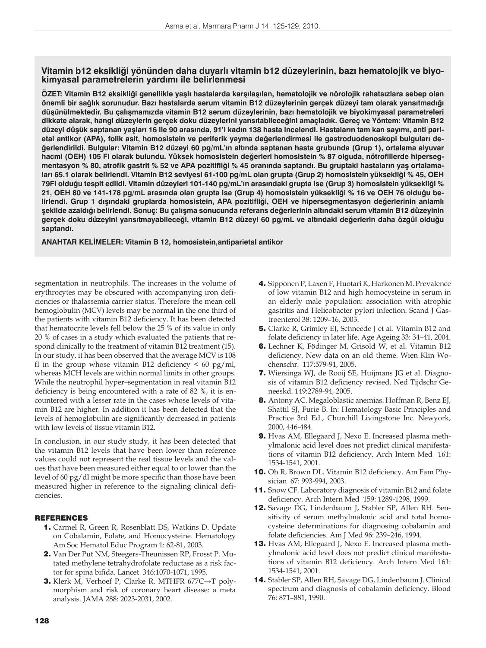## **Vitamin b12 eksikliği yönünden daha duyarlı vitamin b12 düzeylerinin, bazı hematolojik ve biyokimyasal parametrelerin yardımı ile belirlenmesi**

**ÖZET: Vitamin B12 eksikliği genellikle yaşlı hastalarda karşılaşılan, hematolojik ve nörolojik rahatsızlara sebep olan önemli bir sağlık sorunudur. Bazı hastalarda serum vitamin B12 düzeylerinin gerçek düzeyi tam olarak yansıtmadığı düşünülmektedir. Bu çalışmamızda vitamin B12 serum düzeylerinin, bazı hematolojik ve biyokimyasal parametreleri dikkate alarak, hangi düzeylerin gerçek doku düzeylerini yansıtabileceğini amaçladık. Gereç ve Yöntem: Vitamin B12 düzeyi düşük saptanan yaşları 16 ile 90 arasında, 91'i kadın 138 hasta incelendi. Hastaların tam kan sayımı, anti parietal antikor (APA), folik asit, homosistein ve periferik yayma değerlendirmesi ile gastroduodenoskopi bulguları değerlendirildi. Bulgular: Vitamin B12 düzeyi 60 pg/mL'ın altında saptanan hasta grubunda (Grup 1), ortalama alyuvar hacmi (OEH) 105 Fl olarak bulundu. Yüksek homosistein değerleri homosistein % 87 olguda, nötrofillerde hipersegmentasyon % 80, atrofik gastrit % 52 ve APA pozitifliği % 45 oranında saptandı. Bu gruptaki hastaların yaş ortalamaları 65.1 olarak belirlendi. Vitamin B12 seviyesi 61-100 pg/mL olan grupta (Grup 2) homosistein yüksekliği % 45, OEH 79Fl olduğu tespit edildi. Vitamin düzeyleri 101-140 pg/mL'ın arasındaki grupta ise (Grup 3) homosistein yüksekliği % 21, OEH 80 ve 141-178 pg/mL arasında olan grupta ise (Grup 4) homosistein yüksekliği % 16 ve OEH 76 olduğu belirlendi. Grup 1 dışındaki gruplarda homosistein, APA pozitifliği, OEH ve hipersegmentasyon değerlerinin anlamlı şekilde azaldığı belirlendi. Sonuç: Bu çalışma sonucunda referans değerlerinin altındaki serum vitamin B12 düzeyinin gerçek doku düzeyini yansıtmayabileceği, vitamin B12 düzeyi 60 pg/mL ve altındaki değerlerin daha özgül olduğu saptandı.**

**ANAHTAR KELİMELER: Vitamin B 12, homosistein,antiparietal antikor**

segmentation in neutrophils. The increases in the volume of erythrocytes may be obscured with accompanying iron deficiencies or thalassemia carrier status. Therefore the mean cell hemoglobulin (MCV) levels may be normal in the one third of the patients with vitamin B12 deficiency. It has been detected that hematocrite levels fell below the 25 % of its value in only 20 % of cases in a study which evaluated the patients that respond clinically to the treatment of vitamin B12 treatment (15). In our study, it has been observed that the average MCV is 108 fl in the group whose vitamin B12 deficiency  $\leq 60$  pg/ml, whereas MCH levels are within normal limits in other groups. While the neutrophil hyper–segmentation in real vitamin B12 deficiency is being encountered with a rate of 82 %, it is encountered with a lesser rate in the cases whose levels of vitamin B12 are higher. In addition it has been detected that the levels of hemoglobulin are significantly decreased in patients with low levels of tissue vitamin B12.

In conclusion, in our study study, it has been detected that the vitamin B12 levels that have been lower than reference values could not represent the real tissue levels and the values that have been measured either equal to or lower than the level of 60 pg/dl might be more specific than those have been measured higher in reference to the signaling clinical deficiencies.

#### REFERENCES

- 1. Carmel R, Green R, Rosenblatt DS, Watkins D. Update on Cobalamin, Folate, and Homocysteine. Hematology Am Soc Hematol Educ Program 1: 62-81, 2003.
- 2. Van Der Put NM, Steegers-Theunissen RP, Frosst P. Mutated methylene tetrahydrofolate reductase as a risk factor for spina bifida. Lancet 346:1070-1071, 1995.
- 3. Klerk M, Verhoef P, Clarke R. MTHFR 677C→T polymorphism and risk of coronary heart disease: a meta analysis. JAMA 288: 2023-2031, 2002.
- 4. Sipponen P, Laxen F, Huotari K, Harkonen M. Prevalence of low vitamin B12 and high homocysteine in serum in an elderly male population: association with atrophic gastritis and Helicobacter pylori infection. Scand J Gastroenterol 38: 1209–16, 2003.
- 5. Clarke R, Grimley EJ, Schneede J et al. Vitamin B12 and folate deficiency in later life. Age Ageing 33: 34–41, 2004.
- 6. Lechner K, Födinger M, Grisold W, et al. Vitamin B12 deficiency. New data on an old theme. Wien Klin Wochenschr. 117:579-91, 2005.
- 7. Wiersinga WJ, de Rooij SE, Huijmans JG et al. Diagnosis of vitamin B12 deficiency revised. Ned Tijdschr Geneeskd. 149:2789-94, 2005.
- 8. Antony AC. Megaloblastic anemias. Hoffman R, Benz EJ, Shattil SJ, Furie B. In: Hematology Basic Principles and Practice 3rd Ed., Churchill Livingstone Inc. Newyork, 2000, 446-484.
- 9. Hvas AM, Ellegaard J, Nexo E. Increased plasma methylmalonic acid level does not predict clinical manifestations of vitamin B12 deficiency. Arch Intern Med 161: 1534-1541, 2001.
- 10. Oh R, Brown DL. Vitamin B12 deficiency. Am Fam Physician 67: 993-994, 2003.
- 11. Snow CF. Laboratory diagnosis of vitamin B12 and folate deficiency. Arch Intern Med 159: 1289-1298, 1999.
- 12. Savage DG, Lindenbaum J, Stabler SP, Allen RH. Sensitivity of serum methylmalonic acid and total homocysteine determinations for diagnosing cobalamin and folate deficiencies. Am J Med 96: 239–246, 1994.
- 13. Hvas AM, Ellegaard J, Nexo E. Increased plasma methylmalonic acid level does not predict clinical manifestations of vitamin B12 deficiency. Arch Intern Med 161: 1534-1541, 2001.
- 14. Stabler SP, Allen RH, Savage DG, Lindenbaum J. Clinical spectrum and diagnosis of cobalamin deficiency. Blood 76: 871–881, 1990.